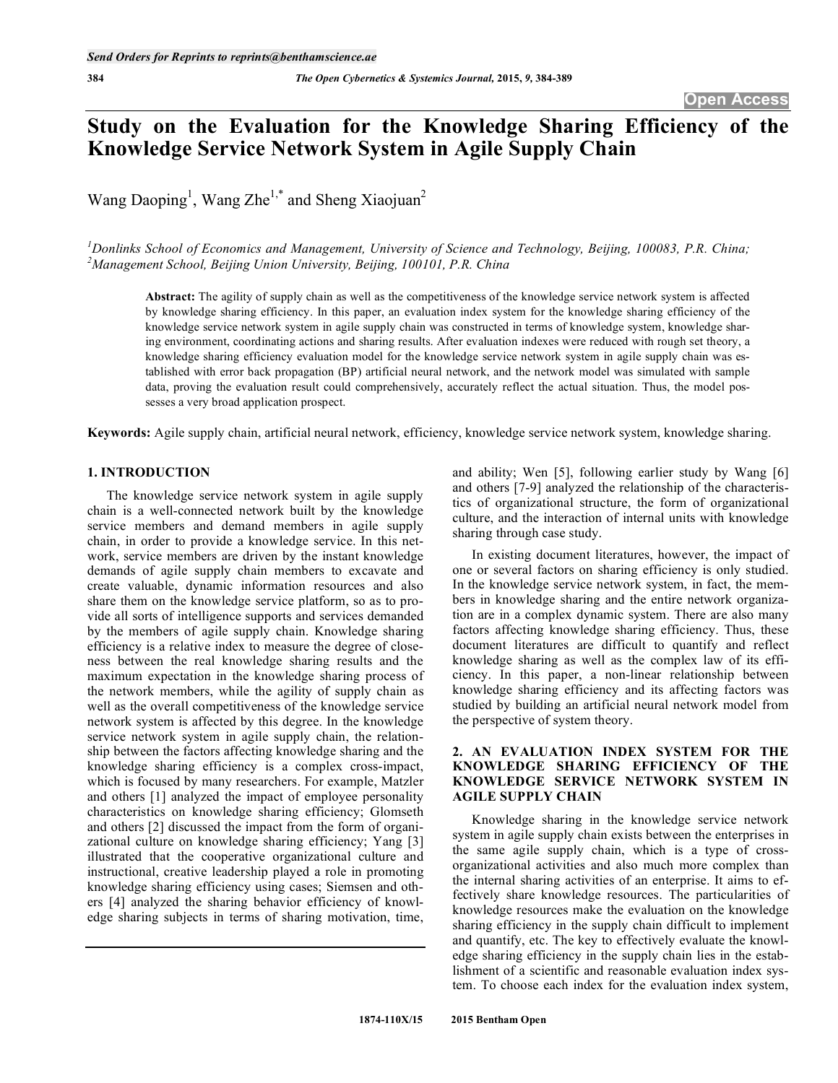# **Study on the Evaluation for the Knowledge Sharing Efficiency of the Knowledge Service Network System in Agile Supply Chain**

Wang Daoping<sup>1</sup>, Wang Zhe<sup>1,\*</sup> and Sheng Xiaojuan<sup>2</sup>

<sup>1</sup> Donlinks School of Economics and Management, University of Science and Technology, Beijing, 100083, P.R. China; *2 Management School, Beijing Union University, Beijing, 100101, P.R. China*

**Abstract:** The agility of supply chain as well as the competitiveness of the knowledge service network system is affected by knowledge sharing efficiency. In this paper, an evaluation index system for the knowledge sharing efficiency of the knowledge service network system in agile supply chain was constructed in terms of knowledge system, knowledge sharing environment, coordinating actions and sharing results. After evaluation indexes were reduced with rough set theory, a knowledge sharing efficiency evaluation model for the knowledge service network system in agile supply chain was established with error back propagation (BP) artificial neural network, and the network model was simulated with sample data, proving the evaluation result could comprehensively, accurately reflect the actual situation. Thus, the model possesses a very broad application prospect.

**Keywords:** Agile supply chain, artificial neural network, efficiency, knowledge service network system, knowledge sharing.

### **1. INTRODUCTION**

The knowledge service network system in agile supply chain is a well-connected network built by the knowledge service members and demand members in agile supply chain, in order to provide a knowledge service. In this network, service members are driven by the instant knowledge demands of agile supply chain members to excavate and create valuable, dynamic information resources and also share them on the knowledge service platform, so as to provide all sorts of intelligence supports and services demanded by the members of agile supply chain. Knowledge sharing efficiency is a relative index to measure the degree of closeness between the real knowledge sharing results and the maximum expectation in the knowledge sharing process of the network members, while the agility of supply chain as well as the overall competitiveness of the knowledge service network system is affected by this degree. In the knowledge service network system in agile supply chain, the relationship between the factors affecting knowledge sharing and the knowledge sharing efficiency is a complex cross-impact, which is focused by many researchers. For example, Matzler and others [1] analyzed the impact of employee personality characteristics on knowledge sharing efficiency; Glomseth and others [2] discussed the impact from the form of organizational culture on knowledge sharing efficiency; Yang [3] illustrated that the cooperative organizational culture and instructional, creative leadership played a role in promoting knowledge sharing efficiency using cases; Siemsen and others [4] analyzed the sharing behavior efficiency of knowledge sharing subjects in terms of sharing motivation, time,

and ability; Wen [5], following earlier study by Wang [6] and others [7-9] analyzed the relationship of the characteristics of organizational structure, the form of organizational culture, and the interaction of internal units with knowledge sharing through case study.

In existing document literatures, however, the impact of one or several factors on sharing efficiency is only studied. In the knowledge service network system, in fact, the members in knowledge sharing and the entire network organization are in a complex dynamic system. There are also many factors affecting knowledge sharing efficiency. Thus, these document literatures are difficult to quantify and reflect knowledge sharing as well as the complex law of its efficiency. In this paper, a non-linear relationship between knowledge sharing efficiency and its affecting factors was studied by building an artificial neural network model from the perspective of system theory.

# **2. AN EVALUATION INDEX SYSTEM FOR THE KNOWLEDGE SHARING EFFICIENCY OF THE KNOWLEDGE SERVICE NETWORK SYSTEM IN AGILE SUPPLY CHAIN**

Knowledge sharing in the knowledge service network system in agile supply chain exists between the enterprises in the same agile supply chain, which is a type of crossorganizational activities and also much more complex than the internal sharing activities of an enterprise. It aims to effectively share knowledge resources. The particularities of knowledge resources make the evaluation on the knowledge sharing efficiency in the supply chain difficult to implement and quantify, etc. The key to effectively evaluate the knowledge sharing efficiency in the supply chain lies in the establishment of a scientific and reasonable evaluation index system. To choose each index for the evaluation index system,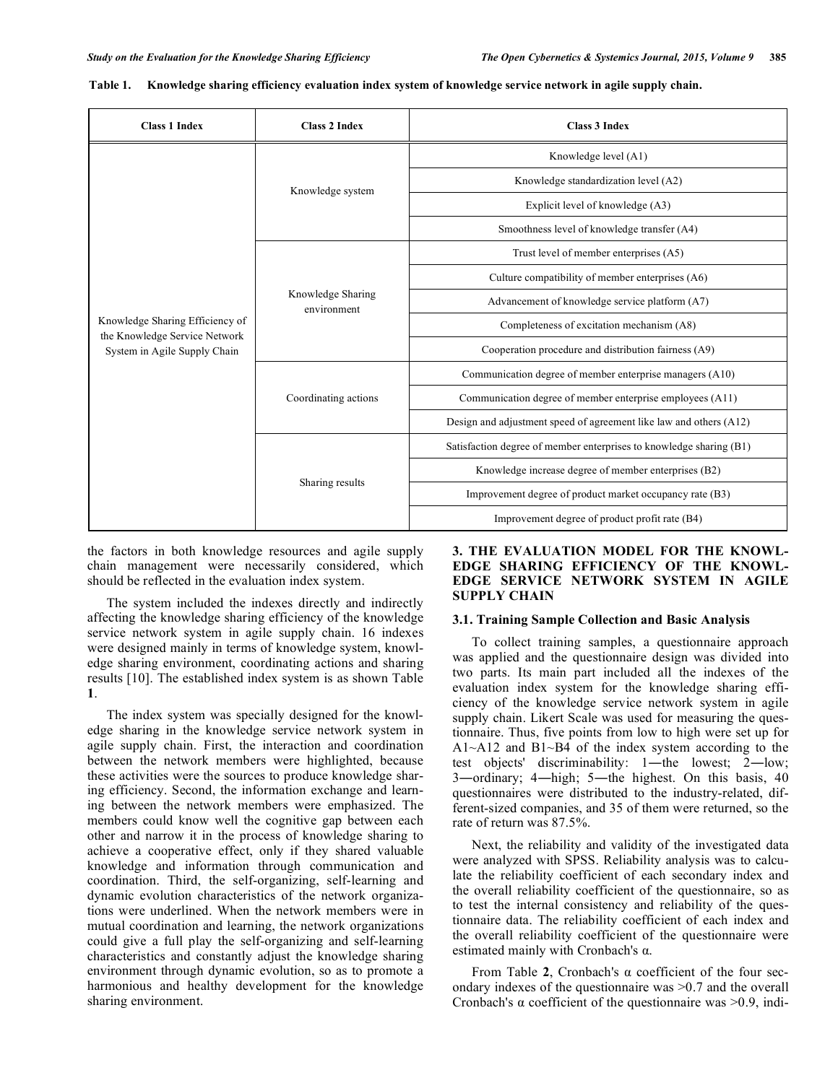| <b>Class 1 Index</b>                                             | <b>Class 2 Index</b>             | <b>Class 3 Index</b>                                                |  |  |  |  |
|------------------------------------------------------------------|----------------------------------|---------------------------------------------------------------------|--|--|--|--|
|                                                                  |                                  | Knowledge level (A1)                                                |  |  |  |  |
|                                                                  | Knowledge system                 | Knowledge standardization level (A2)                                |  |  |  |  |
|                                                                  |                                  | Explicit level of knowledge (A3)                                    |  |  |  |  |
|                                                                  |                                  | Smoothness level of knowledge transfer (A4)                         |  |  |  |  |
|                                                                  |                                  | Trust level of member enterprises (A5)                              |  |  |  |  |
|                                                                  | Knowledge Sharing<br>environment | Culture compatibility of member enterprises (A6)                    |  |  |  |  |
|                                                                  |                                  | Advancement of knowledge service platform (A7)                      |  |  |  |  |
| Knowledge Sharing Efficiency of<br>the Knowledge Service Network |                                  | Completeness of excitation mechanism (A8)                           |  |  |  |  |
| System in Agile Supply Chain                                     |                                  | Cooperation procedure and distribution fairness (A9)                |  |  |  |  |
|                                                                  |                                  | Communication degree of member enterprise managers (A10)            |  |  |  |  |
|                                                                  | Coordinating actions             | Communication degree of member enterprise employees (A11)           |  |  |  |  |
|                                                                  |                                  | Design and adjustment speed of agreement like law and others (A12)  |  |  |  |  |
|                                                                  |                                  | Satisfaction degree of member enterprises to knowledge sharing (B1) |  |  |  |  |
|                                                                  |                                  | Knowledge increase degree of member enterprises (B2)                |  |  |  |  |
|                                                                  | Sharing results                  | Improvement degree of product market occupancy rate (B3)            |  |  |  |  |
|                                                                  |                                  | Improvement degree of product profit rate (B4)                      |  |  |  |  |

the factors in both knowledge resources and agile supply chain management were necessarily considered, which should be reflected in the evaluation index system.

The system included the indexes directly and indirectly affecting the knowledge sharing efficiency of the knowledge service network system in agile supply chain. 16 indexes were designed mainly in terms of knowledge system, knowledge sharing environment, coordinating actions and sharing results [10]. The established index system is as shown Table **1**.

The index system was specially designed for the knowledge sharing in the knowledge service network system in agile supply chain. First, the interaction and coordination between the network members were highlighted, because these activities were the sources to produce knowledge sharing efficiency. Second, the information exchange and learning between the network members were emphasized. The members could know well the cognitive gap between each other and narrow it in the process of knowledge sharing to achieve a cooperative effect, only if they shared valuable knowledge and information through communication and coordination. Third, the self-organizing, self-learning and dynamic evolution characteristics of the network organizations were underlined. When the network members were in mutual coordination and learning, the network organizations could give a full play the self-organizing and self-learning characteristics and constantly adjust the knowledge sharing environment through dynamic evolution, so as to promote a harmonious and healthy development for the knowledge sharing environment.

# **3. THE EVALUATION MODEL FOR THE KNOWL-EDGE SHARING EFFICIENCY OF THE KNOWL-EDGE SERVICE NETWORK SYSTEM IN AGILE SUPPLY CHAIN**

#### **3.1. Training Sample Collection and Basic Analysis**

To collect training samples, a questionnaire approach was applied and the questionnaire design was divided into two parts. Its main part included all the indexes of the evaluation index system for the knowledge sharing efficiency of the knowledge service network system in agile supply chain. Likert Scale was used for measuring the questionnaire. Thus, five points from low to high were set up for A1~A12 and B1~B4 of the index system according to the test objects' discriminability: 1—the lowest; 2—low; 3-ordinary; 4-high; 5-the highest. On this basis, 40 questionnaires were distributed to the industry-related, different-sized companies, and 35 of them were returned, so the rate of return was 87.5%.

Next, the reliability and validity of the investigated data were analyzed with SPSS. Reliability analysis was to calculate the reliability coefficient of each secondary index and the overall reliability coefficient of the questionnaire, so as to test the internal consistency and reliability of the questionnaire data. The reliability coefficient of each index and the overall reliability coefficient of the questionnaire were estimated mainly with Cronbach's  $\alpha$ .

From Table  $2$ , Cronbach's  $\alpha$  coefficient of the four secondary indexes of the questionnaire was >0.7 and the overall Cronbach's  $\alpha$  coefficient of the questionnaire was >0.9, indi-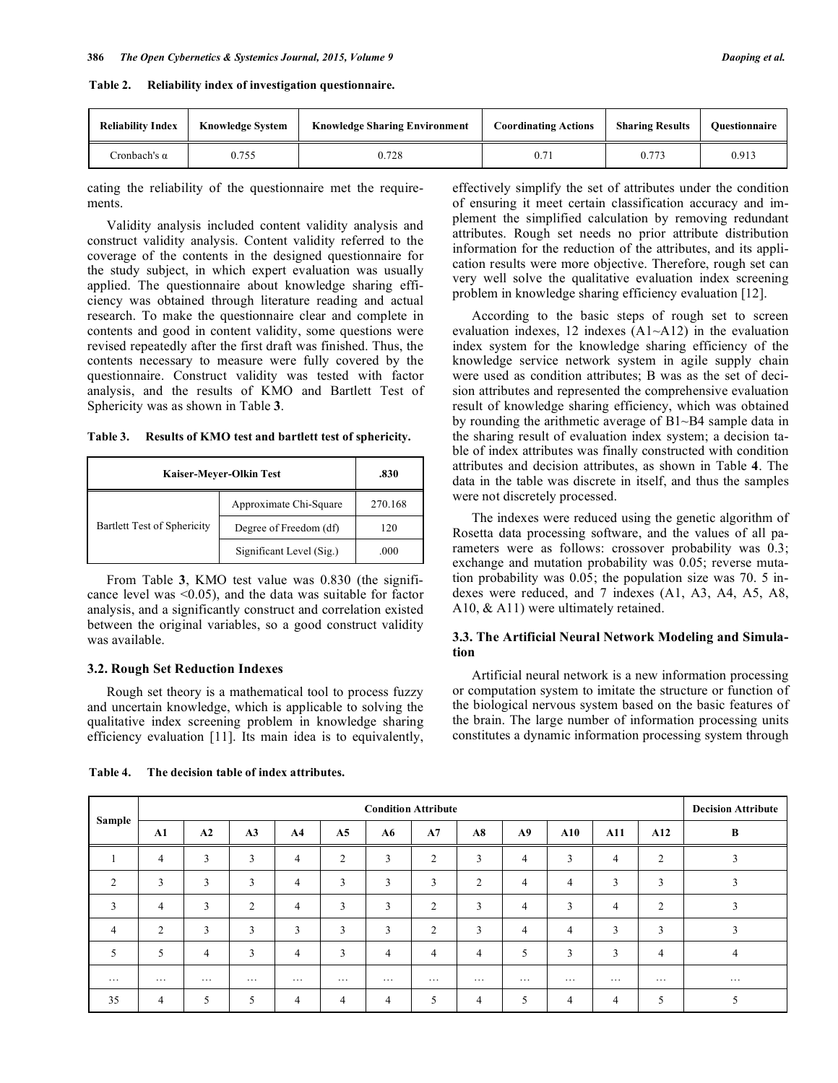| <b>Reliability Index</b> | <b>Knowledge System</b> | <b>Knowledge Sharing Environment</b> | <b>Coordinating Actions</b> | <b>Sharing Results</b> | <b>Ouestionnaire</b> |
|--------------------------|-------------------------|--------------------------------------|-----------------------------|------------------------|----------------------|
| Cronbach's α             | J.755                   | 0.728                                |                             | 0.773                  | 0.913                |

cating the reliability of the questionnaire met the requirements.

Validity analysis included content validity analysis and construct validity analysis. Content validity referred to the coverage of the contents in the designed questionnaire for the study subject, in which expert evaluation was usually applied. The questionnaire about knowledge sharing efficiency was obtained through literature reading and actual research. To make the questionnaire clear and complete in contents and good in content validity, some questions were revised repeatedly after the first draft was finished. Thus, the contents necessary to measure were fully covered by the questionnaire. Construct validity was tested with factor analysis, and the results of KMO and Bartlett Test of Sphericity was as shown in Table **3**.

**Table 3. Results of KMO test and bartlett test of sphericity.**

| Kaiser-Meyer-Olkin Test     | .830                     |         |
|-----------------------------|--------------------------|---------|
|                             | Approximate Chi-Square   | 270.168 |
| Bartlett Test of Sphericity | Degree of Freedom (df)   | 120     |
|                             | Significant Level (Sig.) | .000    |

From Table **3**, KMO test value was 0.830 (the significance level was  $\leq 0.05$ ), and the data was suitable for factor analysis, and a significantly construct and correlation existed between the original variables, so a good construct validity was available.

#### **3.2. Rough Set Reduction Indexes**

Rough set theory is a mathematical tool to process fuzzy and uncertain knowledge, which is applicable to solving the qualitative index screening problem in knowledge sharing efficiency evaluation [11]. Its main idea is to equivalently,

| of ensuring it meet certain classification accuracy and im-     |
|-----------------------------------------------------------------|
| plement the simplified calculation by removing redundant        |
| attributes. Rough set needs no prior attribute distribution     |
| information for the reduction of the attributes, and its appli- |
| cation results were more objective. Therefore, rough set can    |
| very well solve the qualitative evaluation index screening      |
| problem in knowledge sharing efficiency evaluation [12].        |
| Agoording to the hegie stong of rough got to german             |

effectively simplify the set of attributes under the condition

According to the basic steps of rough set to screen evaluation indexes, 12 indexes  $(A1~A12)$  in the evaluation index system for the knowledge sharing efficiency of the knowledge service network system in agile supply chain were used as condition attributes; B was as the set of decision attributes and represented the comprehensive evaluation result of knowledge sharing efficiency, which was obtained by rounding the arithmetic average of B1~B4 sample data in the sharing result of evaluation index system; a decision table of index attributes was finally constructed with condition attributes and decision attributes, as shown in Table **4**. The data in the table was discrete in itself, and thus the samples were not discretely processed.

The indexes were reduced using the genetic algorithm of Rosetta data processing software, and the values of all parameters were as follows: crossover probability was 0.3; exchange and mutation probability was 0.05; reverse mutation probability was 0.05; the population size was 70. 5 indexes were reduced, and 7 indexes (A1, A3, A4, A5, A8, A10, & A11) were ultimately retained.

#### **3.3. The Artificial Neural Network Modeling and Simulation**

Artificial neural network is a new information processing or computation system to imitate the structure or function of the biological nervous system based on the basic features of the brain. The large number of information processing units constitutes a dynamic information processing system through

|          | <b>Condition Attribute</b> |                |          |                |                |                |                |                |                |                | <b>Decision Attribute</b> |                |          |
|----------|----------------------------|----------------|----------|----------------|----------------|----------------|----------------|----------------|----------------|----------------|---------------------------|----------------|----------|
| Sample   | A1                         | A2             | A3       | A <sub>4</sub> | A5             | ${\bf A6}$     | A7             | A8             | A9             | A10            | <b>A11</b>                | A12            | B        |
|          | $\overline{4}$             | 3              | 3        | $\overline{4}$ | $\overline{2}$ | 3              | $\overline{2}$ | 3              | $\overline{4}$ | 3              | $\overline{4}$            | $\overline{2}$ | ٠        |
| 2        | 3                          | 3              | 3        | $\overline{4}$ | 3              | 3              | 3              | $\overline{2}$ | $\overline{4}$ | $\overline{4}$ | 3                         | 3              |          |
| 3        | $\overline{4}$             | 3              | 2        | $\overline{4}$ | 3              | 3              | $\overline{c}$ | 3              | $\overline{4}$ | 3              | $\overline{4}$            | 2              | D.       |
| 4        | 2                          | 3              | 3        | 3              | 3              | 3              | $\overline{c}$ | 3              | $\overline{4}$ | $\overline{4}$ | 3                         | 3              | n,       |
| 5        | 5                          | $\overline{4}$ | 3        | $\overline{4}$ | 3              | $\overline{4}$ | $\overline{4}$ | $\overline{4}$ | 5              | 3              | 3                         | $\overline{4}$ | 4        |
| $\cdots$ | $\cdots$                   | $\cdots$       | $\cdots$ | $\cdots$       | $\cdots$       | $\cdots$       | $\cdots$       | $\cdots$       | $\cdots$       | $\cdots$       | $\cdots$                  | $\cdots$       | $\cdots$ |
| 35       | $\overline{4}$             | 5              | 5        | $\overline{4}$ | 4              | $\overline{4}$ | 5              | 4              | 5              | $\overline{4}$ | $\overline{4}$            | 5              |          |

**Table 4. The decision table of index attributes.**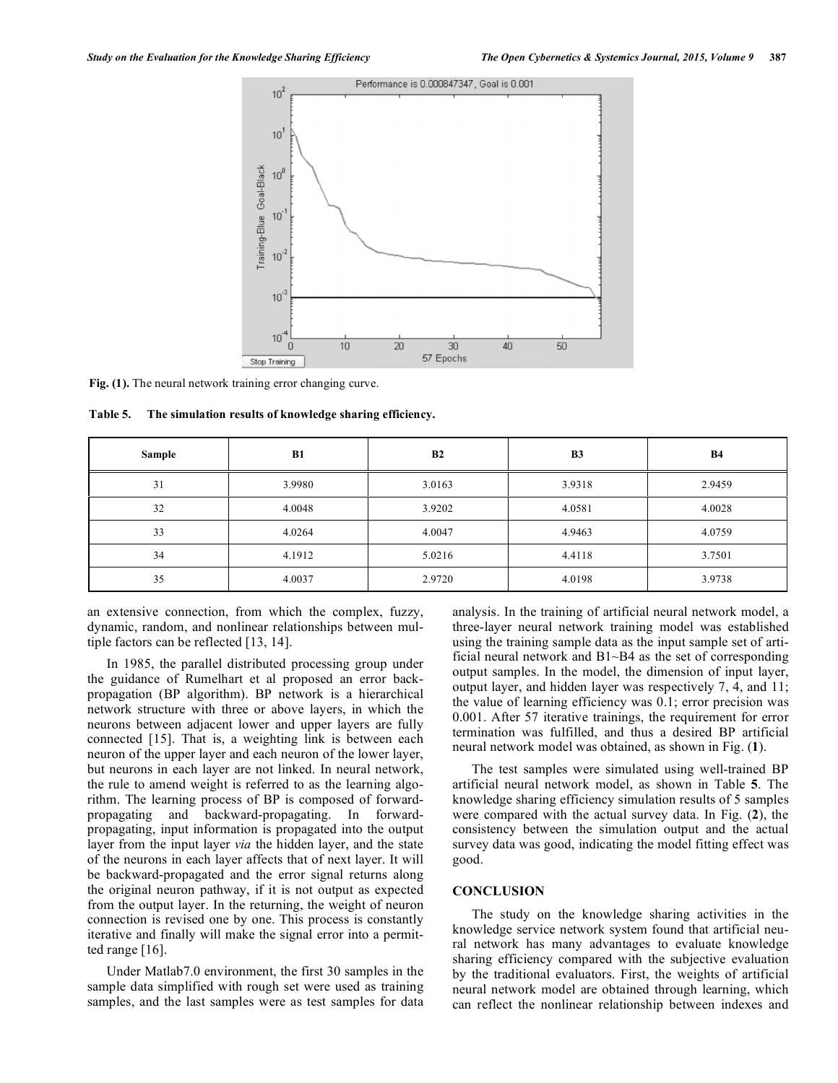

Fig. (1). The neural network training error changing curve.

**Table 5. The simulation results of knowledge sharing efficiency.** 

| Sample | B1     | B2     | <b>B3</b> | <b>B4</b> |
|--------|--------|--------|-----------|-----------|
| 31     | 3.9980 | 3.0163 | 3.9318    | 2.9459    |
| 32     | 4.0048 | 3.9202 | 4.0581    | 4.0028    |
| 33     | 4.0264 | 4.0047 | 4.9463    | 4.0759    |
| 34     | 4.1912 | 5.0216 | 4.4118    | 3.7501    |
| 35     | 4.0037 | 2.9720 | 4.0198    | 3.9738    |

an extensive connection, from which the complex, fuzzy, dynamic, random, and nonlinear relationships between multiple factors can be reflected [13, 14].

In 1985, the parallel distributed processing group under the guidance of Rumelhart et al proposed an error backpropagation (BP algorithm). BP network is a hierarchical network structure with three or above layers, in which the neurons between adjacent lower and upper layers are fully connected [15]. That is, a weighting link is between each neuron of the upper layer and each neuron of the lower layer, but neurons in each layer are not linked. In neural network, the rule to amend weight is referred to as the learning algorithm. The learning process of BP is composed of forwardpropagating and backward-propagating. In forwardpropagating, input information is propagated into the output layer from the input layer *via* the hidden layer, and the state of the neurons in each layer affects that of next layer. It will be backward-propagated and the error signal returns along the original neuron pathway, if it is not output as expected from the output layer. In the returning, the weight of neuron connection is revised one by one. This process is constantly iterative and finally will make the signal error into a permitted range [16].

Under Matlab7.0 environment, the first 30 samples in the sample data simplified with rough set were used as training samples, and the last samples were as test samples for data analysis. In the training of artificial neural network model, a three-layer neural network training model was established using the training sample data as the input sample set of artificial neural network and B1~B4 as the set of corresponding output samples. In the model, the dimension of input layer, output layer, and hidden layer was respectively 7, 4, and 11; the value of learning efficiency was 0.1; error precision was 0.001. After 57 iterative trainings, the requirement for error termination was fulfilled, and thus a desired BP artificial neural network model was obtained, as shown in Fig. (**1**).

The test samples were simulated using well-trained BP artificial neural network model, as shown in Table **5**. The knowledge sharing efficiency simulation results of 5 samples were compared with the actual survey data. In Fig. (**2**), the consistency between the simulation output and the actual survey data was good, indicating the model fitting effect was good.

#### **CONCLUSION**

The study on the knowledge sharing activities in the knowledge service network system found that artificial neural network has many advantages to evaluate knowledge sharing efficiency compared with the subjective evaluation by the traditional evaluators. First, the weights of artificial neural network model are obtained through learning, which can reflect the nonlinear relationship between indexes and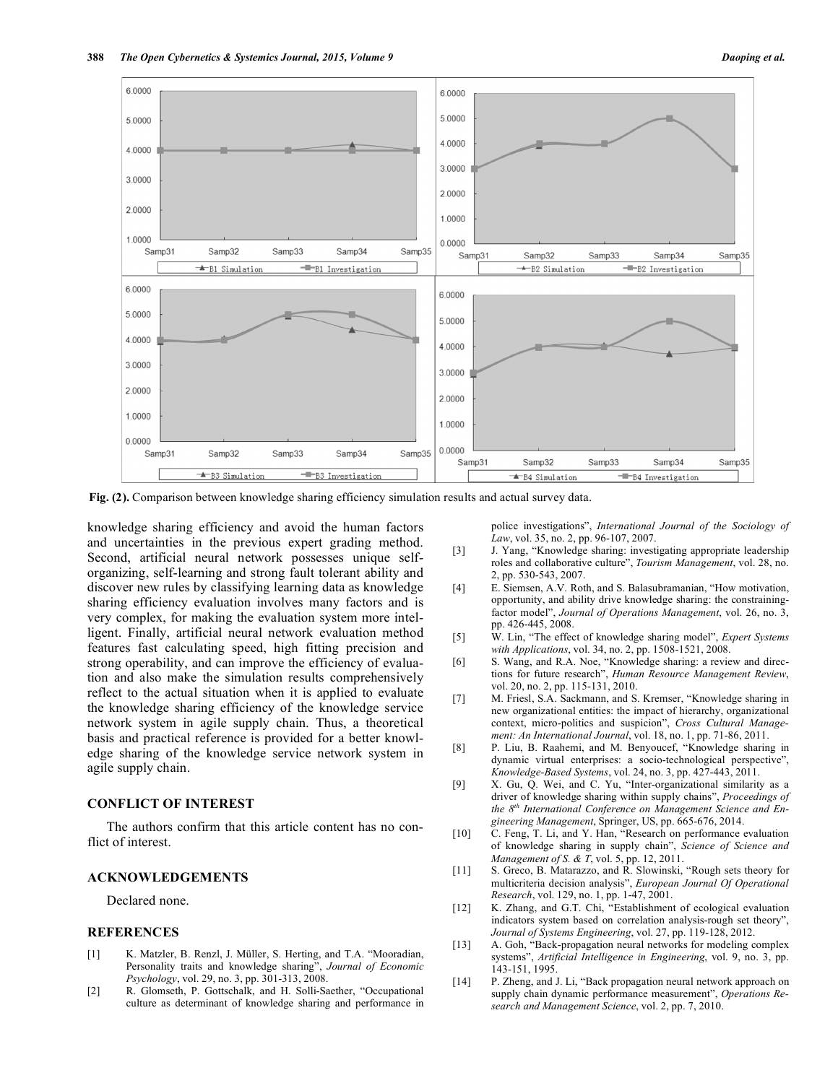

**Fig. (2).** Comparison between knowledge sharing efficiency simulation results and actual survey data.

knowledge sharing efficiency and avoid the human factors and uncertainties in the previous expert grading method. Second, artificial neural network possesses unique selforganizing, self-learning and strong fault tolerant ability and discover new rules by classifying learning data as knowledge sharing efficiency evaluation involves many factors and is very complex, for making the evaluation system more intelligent. Finally, artificial neural network evaluation method features fast calculating speed, high fitting precision and strong operability, and can improve the efficiency of evaluation and also make the simulation results comprehensively reflect to the actual situation when it is applied to evaluate the knowledge sharing efficiency of the knowledge service network system in agile supply chain. Thus, a theoretical basis and practical reference is provided for a better knowledge sharing of the knowledge service network system in agile supply chain.

## **CONFLICT OF INTEREST**

The authors confirm that this article content has no conflict of interest.

### **ACKNOWLEDGEMENTS**

Declared none.

#### **REFERENCES**

- [1] K. Matzler, B. Renzl, J. Müller, S. Herting, and T.A. "Mooradian, Personality traits and knowledge sharing", *Journal of Economic Psychology*, vol. 29, no. 3, pp. 301-313, 2008.
- [2] R. Glomseth, P. Gottschalk, and H. Solli-Saether, "Occupational culture as determinant of knowledge sharing and performance in

police investigations", *International Journal of the Sociology of Law*, vol. 35, no. 2, pp. 96-107, 2007.

- [3] J. Yang, "Knowledge sharing: investigating appropriate leadership roles and collaborative culture", *Tourism Management*, vol. 28, no. 2, pp. 530-543, 2007.
- [4] E. Siemsen, A.V. Roth, and S. Balasubramanian, "How motivation, opportunity, and ability drive knowledge sharing: the constrainingfactor model", *Journal of Operations Management*, vol. 26, no. 3, pp. 426-445, 2008.
- [5] W. Lin, "The effect of knowledge sharing model", *Expert Systems with Applications*, vol. 34, no. 2, pp. 1508-1521, 2008.
- [6] S. Wang, and R.A. Noe, "Knowledge sharing: a review and directions for future research", *Human Resource Management Review*, vol. 20, no. 2, pp. 115-131, 2010.
- [7] M. Friesl, S.A. Sackmann, and S. Kremser, "Knowledge sharing in new organizational entities: the impact of hierarchy, organizational context, micro-politics and suspicion", *Cross Cultural Management: An International Journal*, vol. 18, no. 1, pp. 71-86, 2011.
- [8] P. Liu, B. Raahemi, and M. Benyoucef, "Knowledge sharing in dynamic virtual enterprises: a socio-technological perspective", *Knowledge-Based Systems*, vol. 24, no. 3, pp. 427-443, 2011.
- [9] X. Gu, Q. Wei, and C. Yu, "Inter-organizational similarity as a driver of knowledge sharing within supply chains", *Proceedings of the 8th International Conference on Management Science and Engineering Management*, Springer, US, pp. 665-676, 2014.
- [10] C. Feng, T. Li, and Y. Han, "Research on performance evaluation of knowledge sharing in supply chain", *Science of Science and Management of S. & T*, vol. 5, pp. 12, 2011.
- [11] S. Greco, B. Matarazzo, and R. Slowinski, "Rough sets theory for multicriteria decision analysis", *European Journal Of Operational Research*, vol. 129, no. 1, pp. 1-47, 2001.
- [12] K. Zhang, and G.T. Chi, "Establishment of ecological evaluation indicators system based on correlation analysis-rough set theory", *Journal of Systems Engineering*, vol. 27, pp. 119-128, 2012.
- [13] A. Goh, "Back-propagation neural networks for modeling complex systems", *Artificial Intelligence in Engineering*, vol. 9, no. 3, pp. 143-151, 1995.
- [14] P. Zheng, and J. Li, "Back propagation neural network approach on supply chain dynamic performance measurement", *Operations Research and Management Science*, vol. 2, pp. 7, 2010.